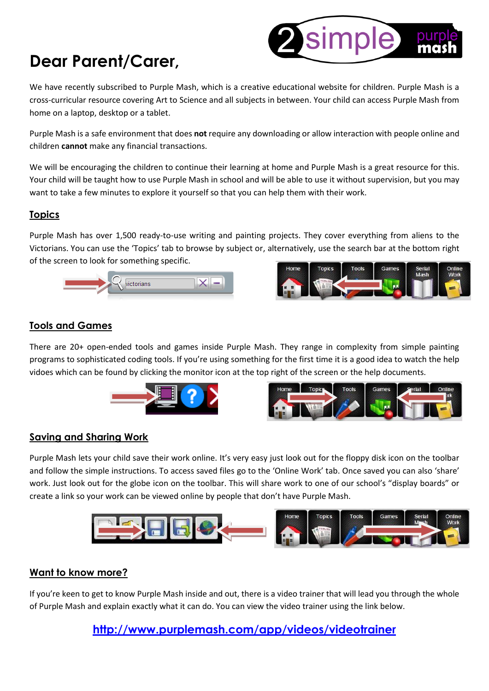### **Dear Parent/Carer,**

We have recently subscribed to Purple Mash, which is a creative educational website for children. Purple Mash is a cross-curricular resource covering Art to Science and all subjects in between. Your child can access Purple Mash from home on a laptop, desktop or a tablet.

Purple Mash is a safe environment that does **not** require any downloading or allow interaction with people online and children **cannot** make any financial transactions.

We will be encouraging the children to continue their learning at home and Purple Mash is a great resource for this. Your child will be taught how to use Purple Mash in school and will be able to use it without supervision, but you may want to take a few minutes to explore it yourself so that you can help them with their work.

#### **Topics**

Purple Mash has over 1,500 ready-to-use writing and painting projects. They cover everything from aliens to the Victorians. You can use the 'Topics' tab to browse by subject or, alternatively, use the search bar at the bottom right of the screen to look for something specific.





simple

#### **Tools and Games**

There are 20+ open-ended tools and games inside Purple Mash. They range in complexity from simple painting programs to sophisticated coding tools. If you're using something for the first time it is a good idea to watch the help vidoes which can be found by clicking the monitor icon at the top right of the screen or the help documents.





#### **Saving and Sharing Work**

Purple Mash lets your child save their work online. It's very easy just look out for the floppy disk icon on the toolbar and follow the simple instructions. To access saved files go to the 'Online Work' tab. Once saved you can also 'share' work. Just look out for the globe icon on the toolbar. This will share work to one of our school's "display boards" or create a link so your work can be viewed online by people that don't have Purple Mash.



#### **Want to know more?**

If you're keen to get to know Purple Mash inside and out, there is a video trainer that will lead you through the whole of Purple Mash and explain exactly what it can do. You can view the video trainer using the link below.

**<http://www.purplemash.com/app/videos/videotrainer>**